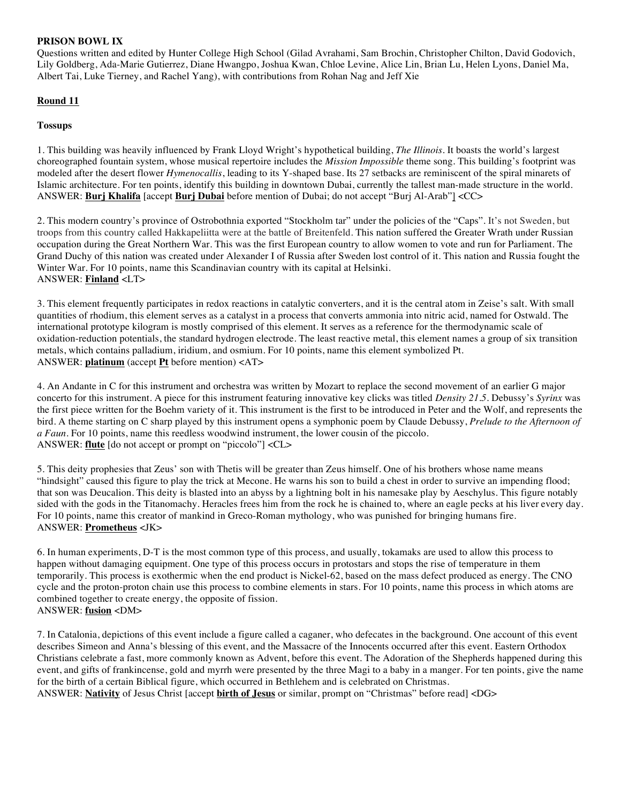### **PRISON BOWL IX**

Questions written and edited by Hunter College High School (Gilad Avrahami, Sam Brochin, Christopher Chilton, David Godovich, Lily Goldberg, Ada-Marie Gutierrez, Diane Hwangpo, Joshua Kwan, Chloe Levine, Alice Lin, Brian Lu, Helen Lyons, Daniel Ma, Albert Tai, Luke Tierney, and Rachel Yang), with contributions from Rohan Nag and Jeff Xie

# **Round 11**

### **Tossups**

1. This building was heavily influenced by Frank Lloyd Wright's hypothetical building, *The Illinois*. It boasts the world's largest choreographed fountain system, whose musical repertoire includes the *Mission Impossible* theme song. This building's footprint was modeled after the desert flower *Hymenocallis*, leading to its Y-shaped base. Its 27 setbacks are reminiscent of the spiral minarets of Islamic architecture. For ten points, identify this building in downtown Dubai, currently the tallest man-made structure in the world. ANSWER: **Burj Khalifa** [accept **Burj Dubai** before mention of Dubai; do not accept "Burj Al-Arab"] <CC>

2. This modern country's province of Ostrobothnia exported "Stockholm tar" under the policies of the "Caps". It's not Sweden, but troops from this country called Hakkapeliitta were at the battle of Breitenfeld. This nation suffered the Greater Wrath under Russian occupation during the Great Northern War. This was the first European country to allow women to vote and run for Parliament. The Grand Duchy of this nation was created under Alexander I of Russia after Sweden lost control of it. This nation and Russia fought the Winter War. For 10 points, name this Scandinavian country with its capital at Helsinki. ANSWER: **Finland** <LT>

3. This element frequently participates in redox reactions in catalytic converters, and it is the central atom in Zeise's salt. With small quantities of rhodium, this element serves as a catalyst in a process that converts ammonia into nitric acid, named for Ostwald. The international prototype kilogram is mostly comprised of this element. It serves as a reference for the thermodynamic scale of oxidation-reduction potentials, the standard hydrogen electrode. The least reactive metal, this element names a group of six transition metals, which contains palladium, iridium, and osmium. For 10 points, name this element symbolized Pt. ANSWER: **platinum** (accept **Pt** before mention) <AT>

4. An Andante in C for this instrument and orchestra was written by Mozart to replace the second movement of an earlier G major concerto for this instrument. A piece for this instrument featuring innovative key clicks was titled *Density 21.5*. Debussy's *Syrinx* was the first piece written for the Boehm variety of it. This instrument is the first to be introduced in Peter and the Wolf, and represents the bird. A theme starting on C sharp played by this instrument opens a symphonic poem by Claude Debussy, *Prelude to the Afternoon of a Faun*. For 10 points, name this reedless woodwind instrument, the lower cousin of the piccolo. ANSWER: **flute** [do not accept or prompt on "piccolo"] <CL>

5. This deity prophesies that Zeus' son with Thetis will be greater than Zeus himself. One of his brothers whose name means "hindsight" caused this figure to play the trick at Mecone. He warns his son to build a chest in order to survive an impending flood; that son was Deucalion. This deity is blasted into an abyss by a lightning bolt in his namesake play by Aeschylus. This figure notably sided with the gods in the Titanomachy. Heracles frees him from the rock he is chained to, where an eagle pecks at his liver every day. For 10 points, name this creator of mankind in Greco-Roman mythology, who was punished for bringing humans fire. ANSWER: **Prometheus** <JK>

6. In human experiments, D-T is the most common type of this process, and usually, tokamaks are used to allow this process to happen without damaging equipment. One type of this process occurs in protostars and stops the rise of temperature in them temporarily. This process is exothermic when the end product is Nickel-62, based on the mass defect produced as energy. The CNO cycle and the proton-proton chain use this process to combine elements in stars. For 10 points, name this process in which atoms are combined together to create energy, the opposite of fission. ANSWER: **fusion** <DM>

7. In Catalonia, depictions of this event include a figure called a caganer, who defecates in the background. One account of this event describes Simeon and Anna's blessing of this event, and the Massacre of the Innocents occurred after this event. Eastern Orthodox Christians celebrate a fast, more commonly known as Advent, before this event. The Adoration of the Shepherds happened during this event, and gifts of frankincense, gold and myrrh were presented by the three Magi to a baby in a manger. For ten points, give the name for the birth of a certain Biblical figure, which occurred in Bethlehem and is celebrated on Christmas. ANSWER: **Nativity** of Jesus Christ [accept **birth of Jesus** or similar, prompt on "Christmas" before read] <DG>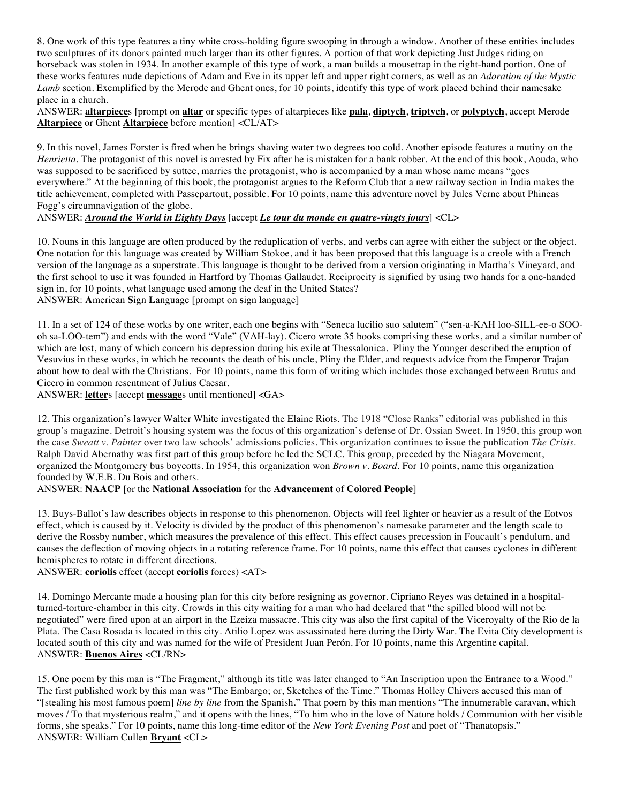8. One work of this type features a tiny white cross-holding figure swooping in through a window. Another of these entities includes two sculptures of its donors painted much larger than its other figures. A portion of that work depicting Just Judges riding on horseback was stolen in 1934. In another example of this type of work, a man builds a mousetrap in the right-hand portion. One of these works features nude depictions of Adam and Eve in its upper left and upper right corners, as well as an *Adoration of the Mystic Lamb* section. Exemplified by the Merode and Ghent ones, for 10 points, identify this type of work placed behind their namesake place in a church.

ANSWER: **altarpiece**s [prompt on **altar** or specific types of altarpieces like **pala**, **diptych**, **triptych**, or **polyptych**, accept Merode **Altarpiece** or Ghent **Altarpiece** before mention] <CL/AT>

9. In this novel, James Forster is fired when he brings shaving water two degrees too cold. Another episode features a mutiny on the *Henrietta*. The protagonist of this novel is arrested by Fix after he is mistaken for a bank robber. At the end of this book, Aouda, who was supposed to be sacrificed by suttee, marries the protagonist, who is accompanied by a man whose name means "goes everywhere." At the beginning of this book, the protagonist argues to the Reform Club that a new railway section in India makes the title achievement, completed with Passepartout, possible. For 10 points, name this adventure novel by Jules Verne about Phineas Fogg's circumnavigation of the globe.

ANSWER: *Around the World in Eighty Days* [accept *Le tour du monde en quatre-vingts jours*] <CL>

10. Nouns in this language are often produced by the reduplication of verbs, and verbs can agree with either the subject or the object. One notation for this language was created by William Stokoe, and it has been proposed that this language is a creole with a French version of the language as a superstrate. This language is thought to be derived from a version originating in Martha's Vineyard, and the first school to use it was founded in Hartford by Thomas Gallaudet. Reciprocity is signified by using two hands for a one-handed sign in, for 10 points, what language used among the deaf in the United States? ANSWER: **A**merican **S**ign **L**anguage [prompt on **s**ign **l**anguage]

11. In a set of 124 of these works by one writer, each one begins with "Seneca lucilio suo salutem" ("sen-a-KAH loo-SILL-ee-o SOOoh sa-LOO-tem") and ends with the word "Vale" (VAH-lay). Cicero wrote 35 books comprising these works, and a similar number of which are lost, many of which concern his depression during his exile at Thessalonica. Pliny the Younger described the eruption of Vesuvius in these works, in which he recounts the death of his uncle, Pliny the Elder, and requests advice from the Emperor Trajan about how to deal with the Christians. For 10 points, name this form of writing which includes those exchanged between Brutus and Cicero in common resentment of Julius Caesar.

ANSWER: **letter**s [accept **message**s until mentioned] <GA>

12. This organization's lawyer Walter White investigated the Elaine Riots. The 1918 "Close Ranks" editorial was published in this group's magazine. Detroit's housing system was the focus of this organization's defense of Dr. Ossian Sweet. In 1950, this group won the case *Sweatt v. Painter* over two law schools' admissions policies. This organization continues to issue the publication *The Crisis*. Ralph David Abernathy was first part of this group before he led the SCLC. This group, preceded by the Niagara Movement, organized the Montgomery bus boycotts. In 1954, this organization won *Brown v. Board.* For 10 points, name this organization founded by W.E.B. Du Bois and others.

### ANSWER: **NAACP** [or the **National Association** for the **Advancement** of **Colored People**]

13. Buys-Ballot's law describes objects in response to this phenomenon. Objects will feel lighter or heavier as a result of the Eotvos effect, which is caused by it. Velocity is divided by the product of this phenomenon's namesake parameter and the length scale to derive the Rossby number, which measures the prevalence of this effect. This effect causes precession in Foucault's pendulum, and causes the deflection of moving objects in a rotating reference frame. For 10 points, name this effect that causes cyclones in different hemispheres to rotate in different directions.

ANSWER: **coriolis** effect (accept **coriolis** forces) <AT>

14. Domingo Mercante made a housing plan for this city before resigning as governor. Cipriano Reyes was detained in a hospitalturned-torture-chamber in this city. Crowds in this city waiting for a man who had declared that "the spilled blood will not be negotiated" were fired upon at an airport in the Ezeiza massacre. This city was also the first capital of the Viceroyalty of the Rio de la Plata. The Casa Rosada is located in this city. Atilio Lopez was assassinated here during the Dirty War. The Evita City development is located south of this city and was named for the wife of President Juan Perón. For 10 points, name this Argentine capital. ANSWER: **Buenos Aires** <CL/RN>

15. One poem by this man is "The Fragment," although its title was later changed to "An Inscription upon the Entrance to a Wood." The first published work by this man was "The Embargo; or, Sketches of the Time." Thomas Holley Chivers accused this man of "[stealing his most famous poem] *line by line* from the Spanish." That poem by this man mentions "The innumerable caravan, which moves / To that mysterious realm," and it opens with the lines, "To him who in the love of Nature holds / Communion with her visible forms, she speaks." For 10 points, name this long-time editor of the *New York Evening Post* and poet of "Thanatopsis." ANSWER: William Cullen **Bryant** <CL>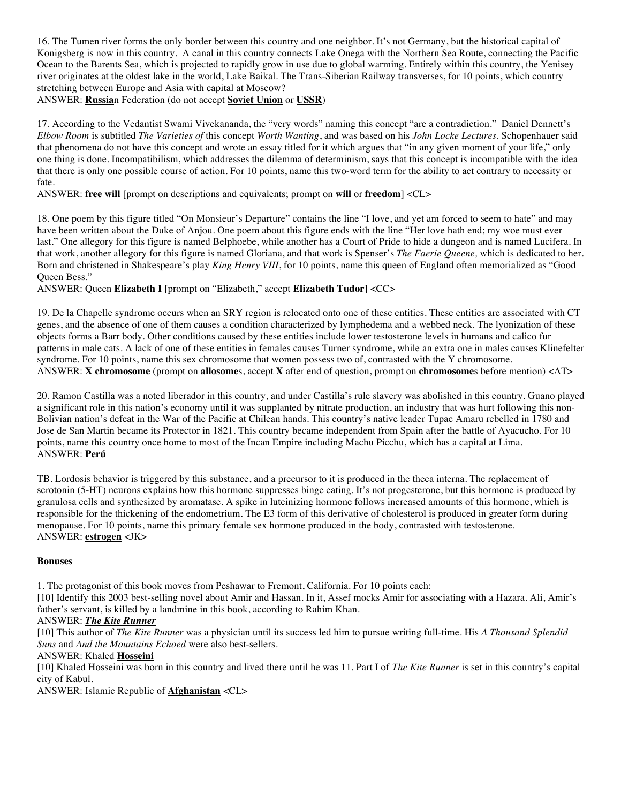16. The Tumen river forms the only border between this country and one neighbor. It's not Germany, but the historical capital of Konigsberg is now in this country. A canal in this country connects Lake Onega with the Northern Sea Route, connecting the Pacific Ocean to the Barents Sea, which is projected to rapidly grow in use due to global warming. Entirely within this country, the Yenisey river originates at the oldest lake in the world, Lake Baikal. The Trans-Siberian Railway transverses, for 10 points, which country stretching between Europe and Asia with capital at Moscow?

ANSWER: **Russia**n Federation (do not accept **Soviet Union** or **USSR**)

17. According to the Vedantist Swami Vivekananda, the "very words" naming this concept "are a contradiction." Daniel Dennett's *Elbow Room* is subtitled *The Varieties of* this concept *Worth Wanting*, and was based on his *John Locke Lectures*. Schopenhauer said that phenomena do not have this concept and wrote an essay titled for it which argues that "in any given moment of your life," only one thing is done. Incompatibilism, which addresses the dilemma of determinism, says that this concept is incompatible with the idea that there is only one possible course of action. For 10 points, name this two-word term for the ability to act contrary to necessity or fate.

ANSWER: **free will** [prompt on descriptions and equivalents; prompt on **will** or **freedom**] <CL>

18. One poem by this figure titled "On Monsieur's Departure" contains the line "I love, and yet am forced to seem to hate" and may have been written about the Duke of Anjou. One poem about this figure ends with the line "Her love hath end; my woe must ever last." One allegory for this figure is named Belphoebe, while another has a Court of Pride to hide a dungeon and is named Lucifera. In that work, another allegory for this figure is named Gloriana, and that work is Spenser's *The Faerie Queene,* which is dedicated to her. Born and christened in Shakespeare's play *King Henry VIII*, for 10 points, name this queen of England often memorialized as "Good Queen Bess."

ANSWER: Queen **Elizabeth I** [prompt on "Elizabeth," accept **Elizabeth Tudor**] <CC>

19. De la Chapelle syndrome occurs when an SRY region is relocated onto one of these entities. These entities are associated with CT genes, and the absence of one of them causes a condition characterized by lymphedema and a webbed neck. The lyonization of these objects forms a Barr body. Other conditions caused by these entities include lower testosterone levels in humans and calico fur patterns in male cats. A lack of one of these entities in females causes Turner syndrome, while an extra one in males causes Klinefelter syndrome. For 10 points, name this sex chromosome that women possess two of, contrasted with the Y chromosome. ANSWER: **X chromosome** (prompt on **allosome**s, accept **X** after end of question, prompt on **chromosome**s before mention) <AT>

20. Ramon Castilla was a noted liberador in this country, and under Castilla's rule slavery was abolished in this country. Guano played a significant role in this nation's economy until it was supplanted by nitrate production, an industry that was hurt following this non-Bolivian nation's defeat in the War of the Pacific at Chilean hands. This country's native leader Tupac Amaru rebelled in 1780 and Jose de San Martin became its Protector in 1821. This country became independent from Spain after the battle of Ayacucho. For 10 points, name this country once home to most of the Incan Empire including Machu Picchu, which has a capital at Lima. ANSWER: **Perú**

TB. Lordosis behavior is triggered by this substance, and a precursor to it is produced in the theca interna. The replacement of serotonin (5-HT) neurons explains how this hormone suppresses binge eating. It's not progesterone, but this hormone is produced by granulosa cells and synthesized by aromatase. A spike in luteinizing hormone follows increased amounts of this hormone, which is responsible for the thickening of the endometrium. The E3 form of this derivative of cholesterol is produced in greater form during menopause. For 10 points, name this primary female sex hormone produced in the body, contrasted with testosterone. ANSWER: **estrogen** <JK>

#### **Bonuses**

1. The protagonist of this book moves from Peshawar to Fremont, California. For 10 points each:

[10] Identify this 2003 best-selling novel about Amir and Hassan. In it, Assef mocks Amir for associating with a Hazara. Ali, Amir's father's servant, is killed by a landmine in this book, according to Rahim Khan.

#### ANSWER: *The Kite Runner*

[10] This author of *The Kite Runner* was a physician until its success led him to pursue writing full-time. His *A Thousand Splendid Suns* and *And the Mountains Echoed* were also best-sellers.

#### ANSWER: Khaled **Hosseini**

[10] Khaled Hosseini was born in this country and lived there until he was 11. Part I of *The Kite Runner* is set in this country's capital city of Kabul.

ANSWER: Islamic Republic of **Afghanistan** <CL>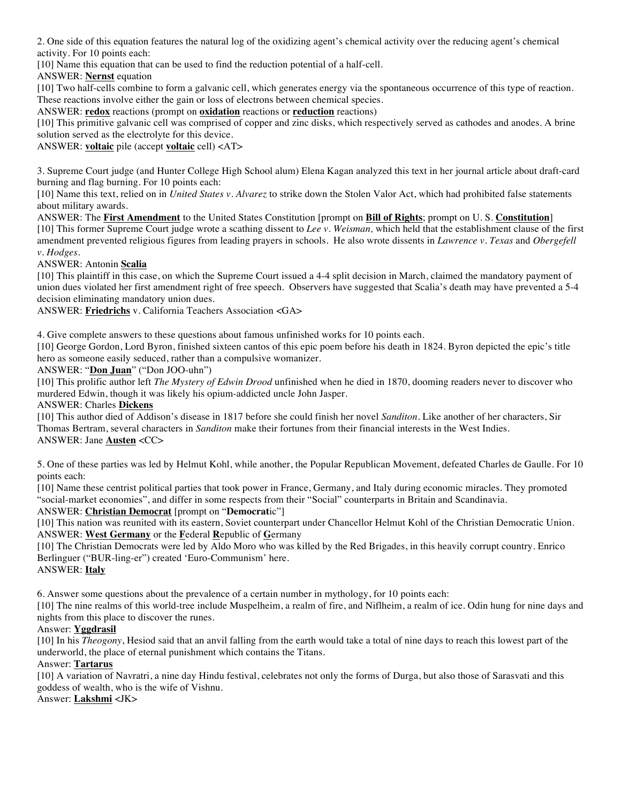2. One side of this equation features the natural log of the oxidizing agent's chemical activity over the reducing agent's chemical activity. For 10 points each:

[10] Name this equation that can be used to find the reduction potential of a half-cell.

ANSWER: **Nernst** equation

[10] Two half-cells combine to form a galvanic cell, which generates energy via the spontaneous occurrence of this type of reaction. These reactions involve either the gain or loss of electrons between chemical species.

ANSWER: **redox** reactions (prompt on **oxidation** reactions or **reduction** reactions)

[10] This primitive galvanic cell was comprised of copper and zinc disks, which respectively served as cathodes and anodes. A brine solution served as the electrolyte for this device.

ANSWER: **voltaic** pile (accept **voltaic** cell) <AT>

3. Supreme Court judge (and Hunter College High School alum) Elena Kagan analyzed this text in her journal article about draft-card burning and flag burning. For 10 points each:

[10] Name this text, relied on in *United States v. Alvarez* to strike down the Stolen Valor Act, which had prohibited false statements about military awards.

ANSWER: The **First Amendment** to the United States Constitution [prompt on **Bill of Rights**; prompt on U. S. **Constitution**] [10] This former Supreme Court judge wrote a scathing dissent to *Lee v. Weisman,* which held that the establishment clause of the first amendment prevented religious figures from leading prayers in schools. He also wrote dissents in *Lawrence v. Texas* and *Obergefell v. Hodges.*

ANSWER: Antonin **Scalia**

[10] This plaintiff in this case, on which the Supreme Court issued a 4-4 split decision in March, claimed the mandatory payment of union dues violated her first amendment right of free speech. Observers have suggested that Scalia's death may have prevented a 5-4 decision eliminating mandatory union dues.

ANSWER: **Friedrichs** v. California Teachers Association <GA>

4. Give complete answers to these questions about famous unfinished works for 10 points each.

[10] George Gordon, Lord Byron, finished sixteen cantos of this epic poem before his death in 1824. Byron depicted the epic's title hero as someone easily seduced, rather than a compulsive womanizer.

ANSWER: "**Don Juan**" ("Don JOO-uhn")

[10] This prolific author left *The Mystery of Edwin Drood* unfinished when he died in 1870, dooming readers never to discover who murdered Edwin, though it was likely his opium-addicted uncle John Jasper.

#### ANSWER: Charles **Dickens**

[10] This author died of Addison's disease in 1817 before she could finish her novel *Sanditon.* Like another of her characters, Sir Thomas Bertram, several characters in *Sanditon* make their fortunes from their financial interests in the West Indies. ANSWER: Jane **Austen** <CC>

5. One of these parties was led by Helmut Kohl, while another, the Popular Republican Movement, defeated Charles de Gaulle. For 10 points each:

[10] Name these centrist political parties that took power in France, Germany, and Italy during economic miracles. They promoted "social-market economies", and differ in some respects from their "Social" counterparts in Britain and Scandinavia.

#### ANSWER: **Christian Democrat** [prompt on "**Democrat**ic"]

[10] This nation was reunited with its eastern, Soviet counterpart under Chancellor Helmut Kohl of the Christian Democratic Union. ANSWER: **West Germany** or the **F**ederal **R**epublic of **G**ermany

[10] The Christian Democrats were led by Aldo Moro who was killed by the Red Brigades, in this heavily corrupt country. Enrico Berlinguer ("BUR-ling-er") created 'Euro-Communism' here.

ANSWER: **Italy**

6. Answer some questions about the prevalence of a certain number in mythology, for 10 points each:

[10] The nine realms of this world-tree include Muspelheim, a realm of fire, and Niflheim, a realm of ice. Odin hung for nine days and nights from this place to discover the runes.

#### Answer: **Yggdrasil**

[10] In his *Theogony*, Hesiod said that an anvil falling from the earth would take a total of nine days to reach this lowest part of the underworld, the place of eternal punishment which contains the Titans.

## Answer: **Tartarus**

[10] A variation of Navratri, a nine day Hindu festival, celebrates not only the forms of Durga, but also those of Sarasvati and this goddess of wealth, who is the wife of Vishnu.

Answer: **Lakshmi** <JK>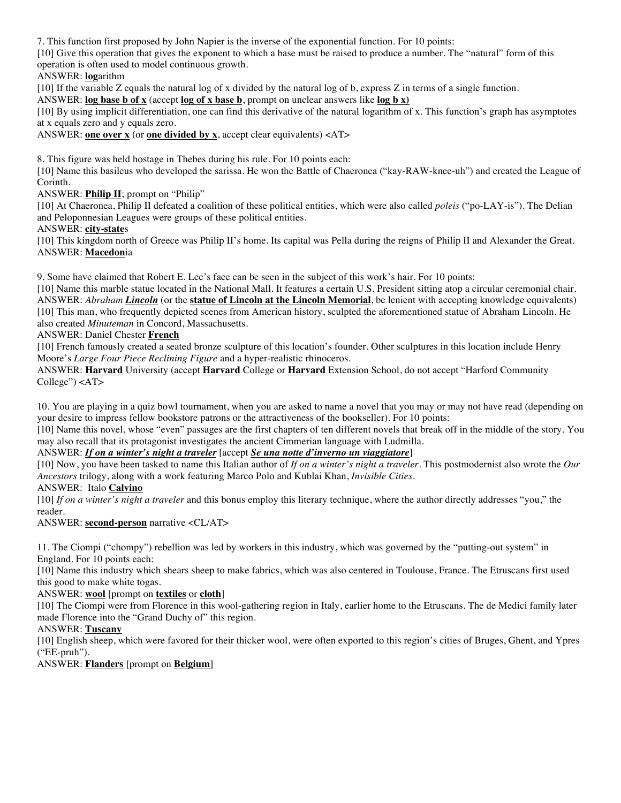7. This function first proposed by John Napier is the inverse of the exponential function. For 10 points:

[10] Give this operation that gives the exponent to which a base must be raised to produce a number. The "natural" form of this operation is often used to model continuous growth.

## ANSWER: **log**arithm

[10] If the variable Z equals the natural log of x divided by the natural log of b, express Z in terms of a single function.

ANSWER: **log base b of x** (accept **log of x base b**, prompt on unclear answers like **log b x)**

[10] By using implicit differentiation, one can find this derivative of the natural logarithm of x. This function's graph has asymptotes at x equals zero and y equals zero.

ANSWER: **one over x** (or **one divided by x**, accept clear equivalents) <AT>

8. This figure was held hostage in Thebes during his rule. For 10 points each:

[10] Name this basileus who developed the sarissa. He won the Battle of Chaeronea ("kay-RAW-knee-uh") and created the League of Corinth.

ANSWER: **Philip II**; prompt on "Philip"

[10] At Chaeronea, Philip II defeated a coalition of these political entities, which were also called *poleis* ("po-LAY-is"). The Delian and Peloponnesian Leagues were groups of these political entities.

ANSWER: **city-state**s

[10] This kingdom north of Greece was Philip II's home. Its capital was Pella during the reigns of Philip II and Alexander the Great. ANSWER: **Macedon**ia

9. Some have claimed that Robert E. Lee's face can be seen in the subject of this work's hair. For 10 points:

[10] Name this marble statue located in the National Mall. It features a certain U.S. President sitting atop a circular ceremonial chair. ANSWER: *Abraham Lincoln* (or the **statue of Lincoln at the Lincoln Memorial**, be lenient with accepting knowledge equivalents) [10] This man, who frequently depicted scenes from American history, sculpted the aforementioned statue of Abraham Lincoln. He also created *Minuteman* in Concord, Massachusetts.

ANSWER: Daniel Chester **French**

[10] French famously created a seated bronze sculpture of this location's founder. Other sculptures in this location include Henry Moore's *Large Four Piece Reclining Figure* and a hyper-realistic rhinoceros.

ANSWER: **Harvard** University (accept **Harvard** College or **Harvard** Extension School, do not accept "Harford Community College") <AT>

10. You are playing in a quiz bowl tournament, when you are asked to name a novel that you may or may not have read (depending on your desire to impress fellow bookstore patrons or the attractiveness of the bookseller). For 10 points:

[10] Name this novel, whose "even" passages are the first chapters of ten different novels that break off in the middle of the story. You may also recall that its protagonist investigates the ancient Cimmerian language with Ludmilla.

ANSWER: *If on a winter's night a traveler* [accept *Se una notte d'inverno un viaggiatore*]

[10] Now, you have been tasked to name this Italian author of *If on a winter's night a traveler*. This postmodernist also wrote the *Our Ancestors* trilogy, along with a work featuring Marco Polo and Kublai Khan, *Invisible Cities*.

ANSWER: Italo **Calvino**

[10] *If on a winter's night a traveler* and this bonus employ this literary technique, where the author directly addresses "you," the reader.

ANSWER: **second-person** narrative <CL/AT>

11. The Ciompi ("chompy") rebellion was led by workers in this industry, which was governed by the "putting-out system" in England. For 10 points each:

[10] Name this industry which shears sheep to make fabrics, which was also centered in Toulouse, France. The Etruscans first used this good to make white togas.

ANSWER: **wool** [prompt on **textiles** or **cloth**]

[10] The Ciompi were from Florence in this wool-gathering region in Italy, earlier home to the Etruscans. The de Medici family later made Florence into the "Grand Duchy of" this region.

ANSWER: **Tuscany**

[10] English sheep, which were favored for their thicker wool, were often exported to this region's cities of Bruges, Ghent, and Ypres ("EE-pruh").

ANSWER: **Flanders** [prompt on **Belgium**]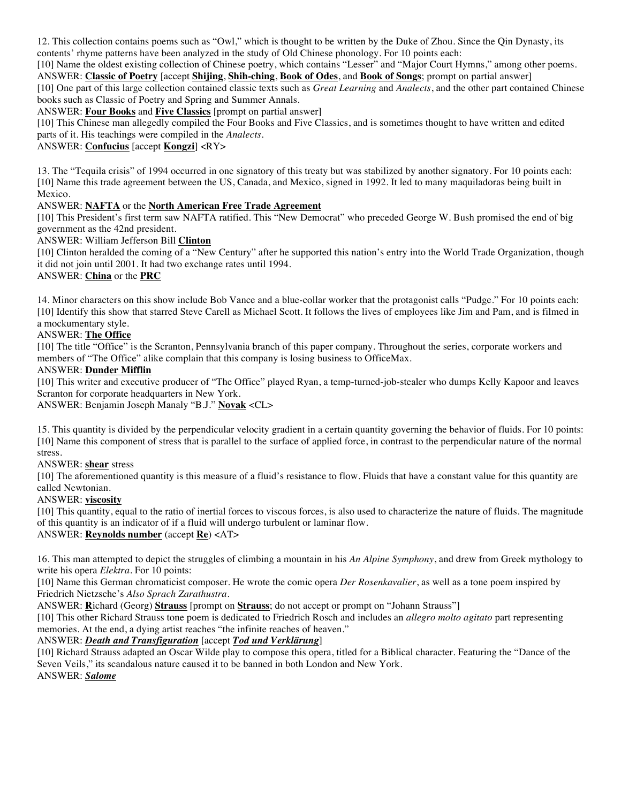12. This collection contains poems such as "Owl," which is thought to be written by the Duke of Zhou. Since the Qin Dynasty, its contents' rhyme patterns have been analyzed in the study of Old Chinese phonology. For 10 points each:

[10] Name the oldest existing collection of Chinese poetry, which contains "Lesser" and "Major Court Hymns," among other poems. ANSWER: **Classic of Poetry** [accept **Shijing**, **Shih-ching**, **Book of Odes**, and **Book of Songs**; prompt on partial answer] [10] One part of this large collection contained classic texts such as *Great Learning* and *Analects*, and the other part contained Chinese books such as Classic of Poetry and Spring and Summer Annals.

ANSWER: **Four Books** and **Five Classics** [prompt on partial answer]

[10] This Chinese man allegedly compiled the Four Books and Five Classics, and is sometimes thought to have written and edited parts of it. His teachings were compiled in the *Analects*.

ANSWER: **Confucius** [accept **Kongzi**] <RY>

13. The "Tequila crisis" of 1994 occurred in one signatory of this treaty but was stabilized by another signatory. For 10 points each: [10] Name this trade agreement between the US, Canada, and Mexico, signed in 1992. It led to many maquiladoras being built in Mexico.

### ANSWER: **NAFTA** or the **North American Free Trade Agreement**

[10] This President's first term saw NAFTA ratified. This "New Democrat" who preceded George W. Bush promised the end of big government as the 42nd president.

ANSWER: William Jefferson Bill **Clinton**

[10] Clinton heralded the coming of a "New Century" after he supported this nation's entry into the World Trade Organization, though it did not join until 2001. It had two exchange rates until 1994.

#### ANSWER: **China** or the **PRC**

14. Minor characters on this show include Bob Vance and a blue-collar worker that the protagonist calls "Pudge." For 10 points each: [10] Identify this show that starred Steve Carell as Michael Scott. It follows the lives of employees like Jim and Pam, and is filmed in a mockumentary style.

### ANSWER: **The Office**

[10] The title "Office" is the Scranton, Pennsylvania branch of this paper company. Throughout the series, corporate workers and members of "The Office" alike complain that this company is losing business to OfficeMax.

#### ANSWER: **Dunder Mifflin**

[10] This writer and executive producer of "The Office" played Ryan, a temp-turned-job-stealer who dumps Kelly Kapoor and leaves Scranton for corporate headquarters in New York.

ANSWER: Benjamin Joseph Manaly "B.J." **Novak** <CL>

15. This quantity is divided by the perpendicular velocity gradient in a certain quantity governing the behavior of fluids. For 10 points: [10] Name this component of stress that is parallel to the surface of applied force, in contrast to the perpendicular nature of the normal stress.

ANSWER: **shear** stress

[10] The aforementioned quantity is this measure of a fluid's resistance to flow. Fluids that have a constant value for this quantity are called Newtonian.

#### ANSWER: **viscosity**

[10] This quantity, equal to the ratio of inertial forces to viscous forces, is also used to characterize the nature of fluids. The magnitude of this quantity is an indicator of if a fluid will undergo turbulent or laminar flow. ANSWER: **Reynolds number** (accept **Re**) <AT>

16. This man attempted to depict the struggles of climbing a mountain in his *An Alpine Symphony*, and drew from Greek mythology to write his opera *Elektra*. For 10 points:

[10] Name this German chromaticist composer. He wrote the comic opera *Der Rosenkavalier*, as well as a tone poem inspired by Friedrich Nietzsche's *Also Sprach Zarathustra*.

ANSWER: **R**ichard (Georg) **Strauss** [prompt on **Strauss**; do not accept or prompt on "Johann Strauss"]

[10] This other Richard Strauss tone poem is dedicated to Friedrich Rosch and includes an *allegro molto agitato* part representing memories. At the end, a dying artist reaches "the infinite reaches of heaven."

### ANSWER: *Death and Transfiguration* [accept *Tod und Verklärung*]

[10] Richard Strauss adapted an Oscar Wilde play to compose this opera, titled for a Biblical character. Featuring the "Dance of the Seven Veils," its scandalous nature caused it to be banned in both London and New York. ANSWER: *Salome*